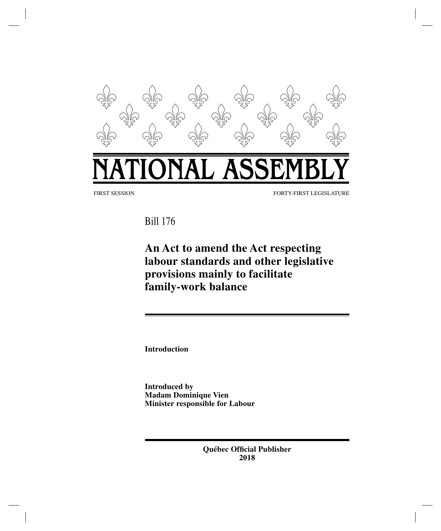

Bill 176

**An Act to amend the Act respecting labour standards and other legislative provisions mainly to facilitate family-work balance**

**Introduction**

**Introduced by Madam Dominique Vien Minister responsible for Labour**

> **Québec Official Publisher 2018**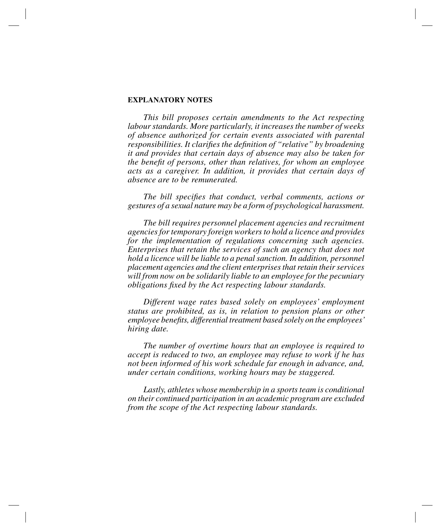## **EXPLANATORY NOTES**

*This bill proposes certain amendments to the Act respecting labour standards. More particularly, it increases the number of weeks of absence authorized for certain events associated with parental responsibilities. It clarifies the definition of "relative" by broadening it and provides that certain days of absence may also be taken for the benefit of persons, other than relatives, for whom an employee acts as a caregiver. In addition, it provides that certain days of absence are to be remunerated.*

*The bill specifies that conduct, verbal comments, actions or gestures of a sexual nature may be a form of psychological harassment.*

*The bill requires personnel placement agencies and recruitment agencies for temporary foreign workers to hold a licence and provides for the implementation of regulations concerning such agencies. Enterprises that retain the services of such an agency that does not hold a licence will be liable to a penal sanction. In addition, personnel placement agencies and the client enterprises that retain their services will from now on be solidarily liable to an employee for the pecuniary obligations fixed by the Act respecting labour standards.*

*Different wage rates based solely on employees' employment status are prohibited, as is, in relation to pension plans or other employee benefits, differential treatment based solely on the employees' hiring date.*

*The number of overtime hours that an employee is required to accept is reduced to two, an employee may refuse to work if he has not been informed of his work schedule far enough in advance, and, under certain conditions, working hours may be staggered.*

*Lastly, athletes whose membership in a sports team is conditional on their continued participation in an academic program are excluded from the scope of the Act respecting labour standards.*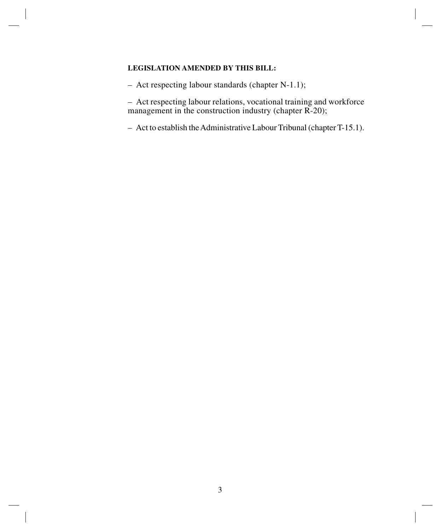## **LEGISLATION AMENDED BY THIS BILL:**

– Act respecting labour standards (chapter N-1.1);

– Act respecting labour relations, vocational training and workforce management in the construction industry (chapter R-20);

– Act to establish the Administrative Labour Tribunal (chapterT-15.1).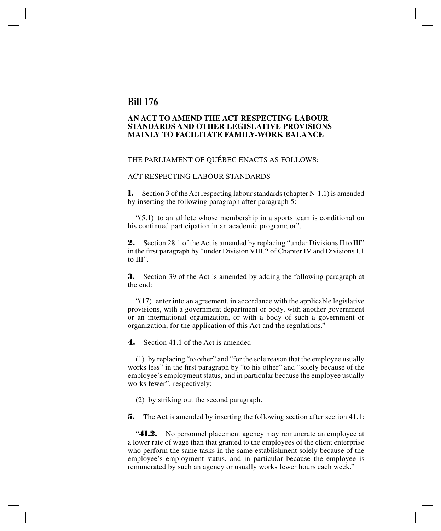# **Bill 176**

## **AN ACT TO AMEND THE ACT RESPECTING LABOUR STANDARDS AND OTHER LEGISLATIVE PROVISIONS MAINLY TO FACILITATE FAMILY-WORK BALANCE**

### THE PARLIAMENT OF QUÉBEC ENACTS AS FOLLOWS:

#### ACT RESPECTING LABOUR STANDARDS

**1.** Section 3 of the Act respecting labour standards (chapter N-1.1) is amended by inserting the following paragraph after paragraph 5:

 $(5.1)$  to an athlete whose membership in a sports team is conditional on his continued participation in an academic program; or".

**2.** Section 28.1 of the Act is amended by replacing "under Divisions II to III" in the first paragraph by "under Division VIII.2 of Chapter IV and Divisions I.1 to III".

**3.** Section 39 of the Act is amended by adding the following paragraph at the end:

"(17) enter into an agreement, in accordance with the applicable legislative provisions, with a government department or body, with another government or an international organization, or with a body of such a government or organization, for the application of this Act and the regulations."

**4.** Section 41.1 of the Act is amended

(1) by replacing "to other" and "for the sole reason that the employee usually works less" in the first paragraph by "to his other" and "solely because of the employee's employment status, and in particular because the employee usually works fewer", respectively;

(2) by striking out the second paragraph.

**5.** The Act is amended by inserting the following section after section 41.1:

"**41.2.** No personnel placement agency may remunerate an employee at a lower rate of wage than that granted to the employees of the client enterprise who perform the same tasks in the same establishment solely because of the employee's employment status, and in particular because the employee is remunerated by such an agency or usually works fewer hours each week."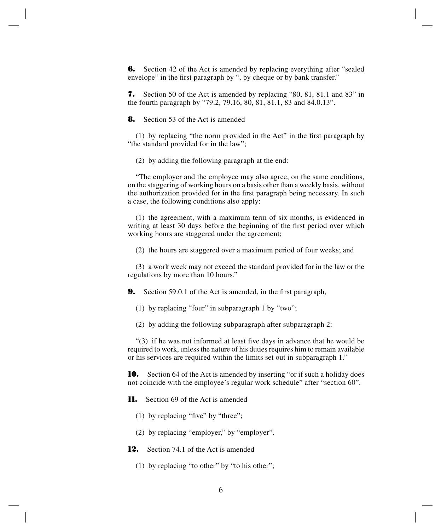**6.** Section 42 of the Act is amended by replacing everything after "sealed" envelope" in the first paragraph by ", by cheque or by bank transfer."

**7.** Section 50 of the Act is amended by replacing "80, 81, 81.1 and 83" in the fourth paragraph by "79.2, 79.16, 80, 81, 81.1, 83 and 84.0.13".

**8.** Section 53 of the Act is amended

(1) by replacing "the norm provided in the Act" in the first paragraph by "the standard provided for in the law";

(2) by adding the following paragraph at the end:

"The employer and the employee may also agree, on the same conditions, on the staggering of working hours on a basis other than a weekly basis, without the authorization provided for in the first paragraph being necessary. In such a case, the following conditions also apply:

(1) the agreement, with a maximum term of six months, is evidenced in writing at least 30 days before the beginning of the first period over which working hours are staggered under the agreement;

(2) the hours are staggered over a maximum period of four weeks; and

(3) a work week may not exceed the standard provided for in the law or the regulations by more than 10 hours."

**9.** Section 59.0.1 of the Act is amended, in the first paragraph,

(1) by replacing "four" in subparagraph 1 by "two";

(2) by adding the following subparagraph after subparagraph 2:

"(3) if he was not informed at least five days in advance that he would be required to work, unless the nature of his duties requires him to remain available or his services are required within the limits set out in subparagraph 1."

**10.** Section 64 of the Act is amended by inserting "or if such a holiday does not coincide with the employee's regular work schedule" after "section 60".

- **11.** Section 69 of the Act is amended
	- (1) by replacing "five" by "three";
	- (2) by replacing "employer," by "employer".
- **12.** Section 74.1 of the Act is amended
	- (1) by replacing "to other" by "to his other";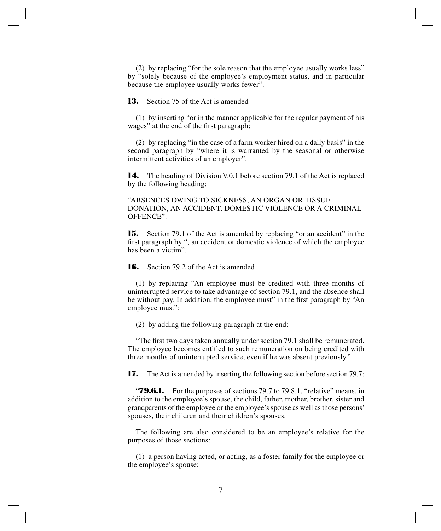(2) by replacing "for the sole reason that the employee usually works less" by "solely because of the employee's employment status, and in particular because the employee usually works fewer".

**13.** Section 75 of the Act is amended

(1) by inserting "or in the manner applicable for the regular payment of his wages" at the end of the first paragraph;

(2) by replacing "in the case of a farm worker hired on a daily basis" in the second paragraph by "where it is warranted by the seasonal or otherwise intermittent activities of an employer".

**14.** The heading of Division V.0.1 before section 79.1 of the Act is replaced by the following heading:

"ABSENCES OWING TO SICKNESS, AN ORGAN OR TISSUE DONATION, AN ACCIDENT, DOMESTIC VIOLENCE OR A CRIMINAL OFFENCE".

**15.** Section 79.1 of the Act is amended by replacing "or an accident" in the first paragraph by ", an accident or domestic violence of which the employee has been a victim".

**16.** Section 79.2 of the Act is amended

(1) by replacing "An employee must be credited with three months of uninterrupted service to take advantage of section 79.1, and the absence shall be without pay. In addition, the employee must" in the first paragraph by "An employee must";

(2) by adding the following paragraph at the end:

"The first two days taken annually under section 79.1 shall be remunerated. The employee becomes entitled to such remuneration on being credited with three months of uninterrupted service, even if he was absent previously."

**17.** The Act is amended by inserting the following section before section 79.7:

"**79.6.1.** For the purposes of sections 79.7 to 79.8.1, "relative" means, in addition to the employee's spouse, the child, father, mother, brother, sister and grandparents of the employee or the employee's spouse as well as those persons' spouses, their children and their children's spouses.

The following are also considered to be an employee's relative for the purposes of those sections:

(1) a person having acted, or acting, as a foster family for the employee or the employee's spouse;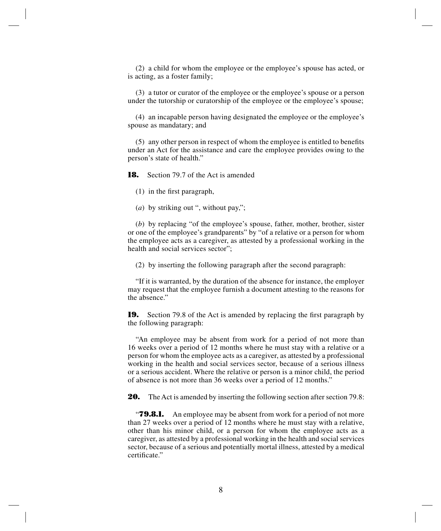(2) a child for whom the employee or the employee's spouse has acted, or is acting, as a foster family;

(3) a tutor or curator of the employee or the employee's spouse or a person under the tutorship or curatorship of the employee or the employee's spouse;

(4) an incapable person having designated the employee or the employee's spouse as mandatary; and

(5) any other person in respect of whom the employee is entitled to benefits under an Act for the assistance and care the employee provides owing to the person's state of health."

**18.** Section 79.7 of the Act is amended

(1) in the first paragraph,

(*a*) by striking out ", without pay,";

(*b*) by replacing "of the employee's spouse, father, mother, brother, sister or one of the employee's grandparents" by "of a relative or a person for whom the employee acts as a caregiver, as attested by a professional working in the health and social services sector";

(2) by inserting the following paragraph after the second paragraph:

"If it is warranted, by the duration of the absence for instance, the employer may request that the employee furnish a document attesting to the reasons for the absence."

**19.** Section 79.8 of the Act is amended by replacing the first paragraph by the following paragraph:

"An employee may be absent from work for a period of not more than 16 weeks over a period of 12 months where he must stay with a relative or a person for whom the employee acts as a caregiver, as attested by a professional working in the health and social services sector, because of a serious illness or a serious accident. Where the relative or person is a minor child, the period of absence is not more than 36 weeks over a period of 12 months."

**20.** The Act is amended by inserting the following section after section 79.8:

**79.8.1.** An employee may be absent from work for a period of not more than 27 weeks over a period of 12 months where he must stay with a relative, other than his minor child, or a person for whom the employee acts as a caregiver, as attested by a professional working in the health and social services sector, because of a serious and potentially mortal illness, attested by a medical certificate."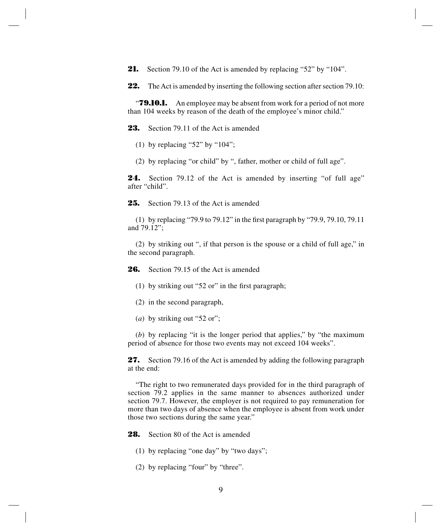**21.** Section 79.10 of the Act is amended by replacing "52" by "104".

**22.** The Act is amended by inserting the following section after section 79.10:

*T9.10.1.* An employee may be absent from work for a period of not more than 104 weeks by reason of the death of the employee's minor child."

**23.** Section 79.11 of the Act is amended

- (1) by replacing "52" by " $104$ ";
- (2) by replacing "or child" by ", father, mother or child of full age".

**24.** Section 79.12 of the Act is amended by inserting "of full age" after "child".

**25.** Section 79.13 of the Act is amended

(1) by replacing "79.9 to 79.12" in the first paragraph by "79.9, 79.10, 79.11 and 79.12";

(2) by striking out ", if that person is the spouse or a child of full age," in the second paragraph.

**26.** Section 79.15 of the Act is amended

- (1) by striking out "52 or" in the first paragraph;
- (2) in the second paragraph,
- (*a*) by striking out "52 or";

(*b*) by replacing "it is the longer period that applies," by "the maximum period of absence for those two events may not exceed 104 weeks".

**27.** Section 79.16 of the Act is amended by adding the following paragraph at the end:

"The right to two remunerated days provided for in the third paragraph of section 79.2 applies in the same manner to absences authorized under section 79.7. However, the employer is not required to pay remuneration for more than two days of absence when the employee is absent from work under those two sections during the same year."

**28.** Section 80 of the Act is amended

- (1) by replacing "one day" by "two days";
- (2) by replacing "four" by "three".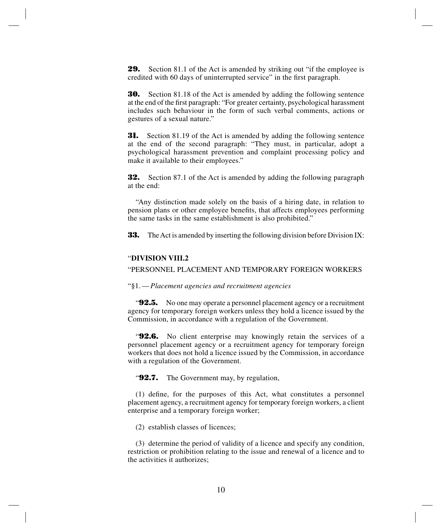**29.** Section 81.1 of the Act is amended by striking out "if the employee is credited with 60 days of uninterrupted service" in the first paragraph.

**30.** Section 81.18 of the Act is amended by adding the following sentence at the end of the first paragraph: "For greater certainty, psychological harassment includes such behaviour in the form of such verbal comments, actions or gestures of a sexual nature."

**31.** Section 81.19 of the Act is amended by adding the following sentence at the end of the second paragraph: "They must, in particular, adopt a psychological harassment prevention and complaint processing policy and make it available to their employees."

**32.** Section 87.1 of the Act is amended by adding the following paragraph at the end:

"Any distinction made solely on the basis of a hiring date, in relation to pension plans or other employee benefits, that affects employees performing the same tasks in the same establishment is also prohibited."

**33.** The Act is amended by inserting the following division before Division IX:

#### "**DIVISION VIII.2**

"PERSONNEL PLACEMENT AND TEMPORARY FOREIGN WORKERS

#### "§1.—*Placement agencies and recruitment agencies*

"**92.5.** No one may operate a personnel placement agency or a recruitment agency for temporary foreign workers unless they hold a licence issued by the Commission, in accordance with a regulation of the Government.

"**92.6.** No client enterprise may knowingly retain the services of a personnel placement agency or a recruitment agency for temporary foreign workers that does not hold a licence issued by the Commission, in accordance with a regulation of the Government.

"**92.7.** The Government may, by regulation,

(1) define, for the purposes of this Act, what constitutes a personnel placement agency, a recruitment agency for temporary foreign workers, a client enterprise and a temporary foreign worker;

(2) establish classes of licences;

(3) determine the period of validity of a licence and specify any condition, restriction or prohibition relating to the issue and renewal of a licence and to the activities it authorizes;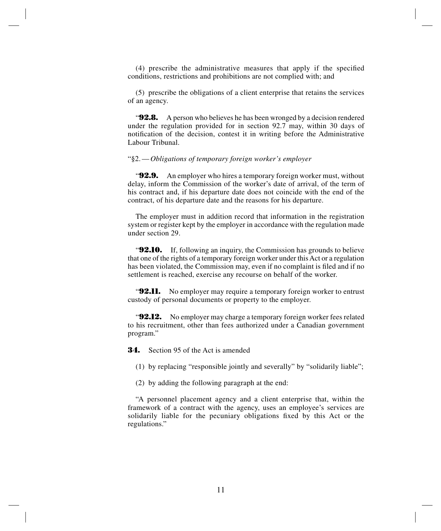(4) prescribe the administrative measures that apply if the specified conditions, restrictions and prohibitions are not complied with; and

(5) prescribe the obligations of a client enterprise that retains the services of an agency.

"**92.8.** A person who believes he has been wronged by a decision rendered under the regulation provided for in section 92.7 may, within 30 days of notification of the decision, contest it in writing before the Administrative Labour Tribunal.

#### "§2.—*Obligations of temporary foreign worker's employer*

"**92.9.** An employer who hires a temporary foreign worker must, without delay, inform the Commission of the worker's date of arrival, of the term of his contract and, if his departure date does not coincide with the end of the contract, of his departure date and the reasons for his departure.

The employer must in addition record that information in the registration system or register kept by the employer in accordance with the regulation made under section 29.

**92.10.** If, following an inquiry, the Commission has grounds to believe that one of the rights of a temporary foreign worker under this Act or a regulation has been violated, the Commission may, even if no complaint is filed and if no settlement is reached, exercise any recourse on behalf of the worker.

**92.11.** No employer may require a temporary foreign worker to entrust custody of personal documents or property to the employer.

**92.12.** No employer may charge a temporary foreign worker fees related to his recruitment, other than fees authorized under a Canadian government program."

**34.** Section 95 of the Act is amended

- (1) by replacing "responsible jointly and severally" by "solidarily liable";
- (2) by adding the following paragraph at the end:

"A personnel placement agency and a client enterprise that, within the framework of a contract with the agency, uses an employee's services are solidarily liable for the pecuniary obligations fixed by this Act or the regulations."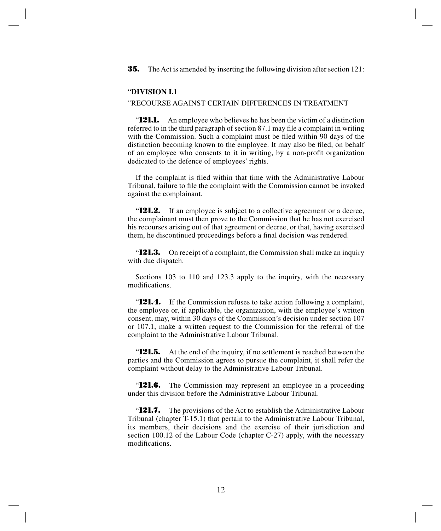**35.** The Act is amended by inserting the following division after section 121:

### "**DIVISION I.1**

#### "RECOURSE AGAINST CERTAIN DIFFERENCES IN TREATMENT

"**121.1.** An employee who believes he has been the victim of a distinction referred to in the third paragraph of section 87.1 may file a complaint in writing with the Commission. Such a complaint must be filed within 90 days of the distinction becoming known to the employee. It may also be filed, on behalf of an employee who consents to it in writing, by a non-profit organization dedicated to the defence of employees' rights.

If the complaint is filed within that time with the Administrative Labour Tribunal, failure to file the complaint with the Commission cannot be invoked against the complainant.

**121.2.** If an employee is subject to a collective agreement or a decree, the complainant must then prove to the Commission that he has not exercised his recourses arising out of that agreement or decree, or that, having exercised them, he discontinued proceedings before a final decision was rendered.

"**121.3.** On receipt of a complaint, the Commission shall make an inquiry with due dispatch.

Sections 103 to 110 and 123.3 apply to the inquiry, with the necessary modifications.

"**121.4.** If the Commission refuses to take action following a complaint, the employee or, if applicable, the organization, with the employee's written consent, may, within 30 days of the Commission's decision under section 107 or 107.1, make a written request to the Commission for the referral of the complaint to the Administrative Labour Tribunal.

"**121.5.** At the end of the inquiry, if no settlement is reached between the parties and the Commission agrees to pursue the complaint, it shall refer the complaint without delay to the Administrative Labour Tribunal.

**121.6.** The Commission may represent an employee in a proceeding under this division before the Administrative Labour Tribunal.

"**121.7.** The provisions of the Act to establish the Administrative Labour Tribunal (chapter T-15.1) that pertain to the Administrative Labour Tribunal, its members, their decisions and the exercise of their jurisdiction and section 100.12 of the Labour Code (chapter C-27) apply, with the necessary modifications.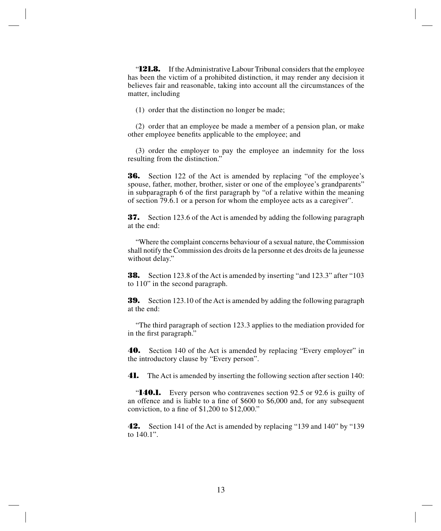"**121.8.** If the Administrative Labour Tribunal considers that the employee has been the victim of a prohibited distinction, it may render any decision it believes fair and reasonable, taking into account all the circumstances of the matter, including

(1) order that the distinction no longer be made;

(2) order that an employee be made a member of a pension plan, or make other employee benefits applicable to the employee; and

(3) order the employer to pay the employee an indemnity for the loss resulting from the distinction."

**36.** Section 122 of the Act is amended by replacing "of the employee's spouse, father, mother, brother, sister or one of the employee's grandparents" in subparagraph 6 of the first paragraph by "of a relative within the meaning of section 79.6.1 or a person for whom the employee acts as a caregiver".

**37.** Section 123.6 of the Act is amended by adding the following paragraph at the end:

"Where the complaint concerns behaviour of a sexual nature, the Commission shall notify the Commission des droits de la personne et des droits de la jeunesse without delay."

**38.** Section 123.8 of the Act is amended by inserting "and 123.3" after "103 to 110" in the second paragraph.

**39.** Section 123.10 of the Act is amended by adding the following paragraph at the end:

"The third paragraph of section 123.3 applies to the mediation provided for in the first paragraph."

**40.** Section 140 of the Act is amended by replacing "Every employer" in the introductory clause by "Every person".

**41.** The Act is amended by inserting the following section after section 140:

"**140.1.** Every person who contravenes section 92.5 or 92.6 is guilty of an offence and is liable to a fine of \$600 to \$6,000 and, for any subsequent conviction, to a fine of \$1,200 to \$12,000."

**42.** Section 141 of the Act is amended by replacing "139 and 140" by "139 to 140.1".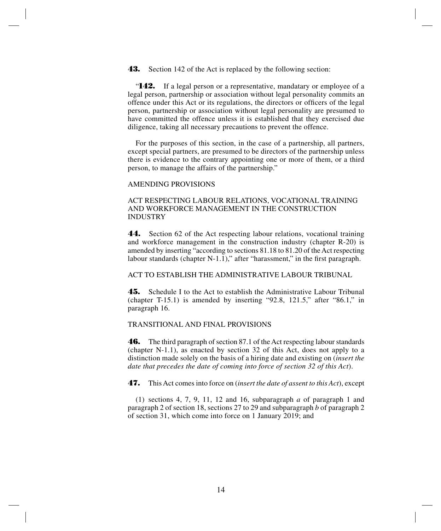**43.** Section 142 of the Act is replaced by the following section:

"**142.** If a legal person or a representative, mandatary or employee of a legal person, partnership or association without legal personality commits an offence under this Act or its regulations, the directors or officers of the legal person, partnership or association without legal personality are presumed to have committed the offence unless it is established that they exercised due diligence, taking all necessary precautions to prevent the offence.

For the purposes of this section, in the case of a partnership, all partners, except special partners, are presumed to be directors of the partnership unless there is evidence to the contrary appointing one or more of them, or a third person, to manage the affairs of the partnership."

#### AMENDING PROVISIONS

## ACT RESPECTING LABOUR RELATIONS, VOCATIONAL TRAINING AND WORKFORCE MANAGEMENT IN THE CONSTRUCTION INDUSTRY

**44.** Section 62 of the Act respecting labour relations, vocational training and workforce management in the construction industry (chapter R-20) is amended by inserting "according to sections 81.18 to 81.20 of the Act respecting labour standards (chapter N-1.1)," after "harassment," in the first paragraph.

#### ACT TO ESTABLISH THE ADMINISTRATIVE LABOUR TRIBUNAL

**45.** Schedule I to the Act to establish the Administrative Labour Tribunal (chapter T-15.1) is amended by inserting "92.8, 121.5," after "86.1," in paragraph 16.

#### TRANSITIONAL AND FINAL PROVISIONS

**46.** The third paragraph of section 87.1 of the Act respecting labour standards (chapter N-1.1), as enacted by section 32 of this Act, does not apply to a distinction made solely on the basis of a hiring date and existing on (*insert the date that precedes the date of coming into force of section 32 of this Act*).

**47.** This Act comes into force on (*insert the date of assent to this Act*), except

(1) sections 4, 7, 9, 11, 12 and 16, subparagraph *a* of paragraph 1 and paragraph 2 of section 18, sections 27 to 29 and subparagraph *b* of paragraph 2 of section 31, which come into force on 1 January 2019; and